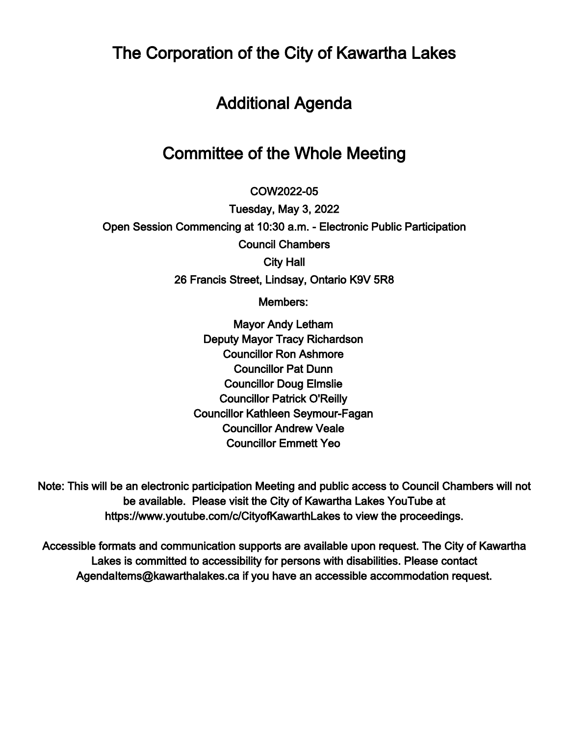The Corporation of the City of Kawartha Lakes

# Additional Agenda

# Committee of the Whole Meeting

 $\overline{\phantom{a}}$ COW2022-05

Tuesday, May 3, 2022 Open Session Commencing at 10:30 a.m. - Electronic Public Participation Council Chambers City Hall 26 Francis Street, Lindsay, Ontario K9V 5R8

Members:

Mayor Andy Letham Deputy Mayor Tracy Richardson Councillor Ron Ashmore Councillor Pat Dunn Councillor Doug Elmslie Councillor Patrick O'Reilly Councillor Kathleen Seymour-Fagan Councillor Andrew Veale Councillor Emmett Yeo

Note: This will be an electronic participation Meeting and public access to Council Chambers will not be available. Please visit the City of Kawartha Lakes YouTube at https://www.youtube.com/c/CityofKawarthLakes to view the proceedings.

Accessible formats and communication supports are available upon request. The City of Kawartha Lakes is committed to accessibility for persons with disabilities. Please contact AgendaItems@kawarthalakes.ca if you have an accessible accommodation request.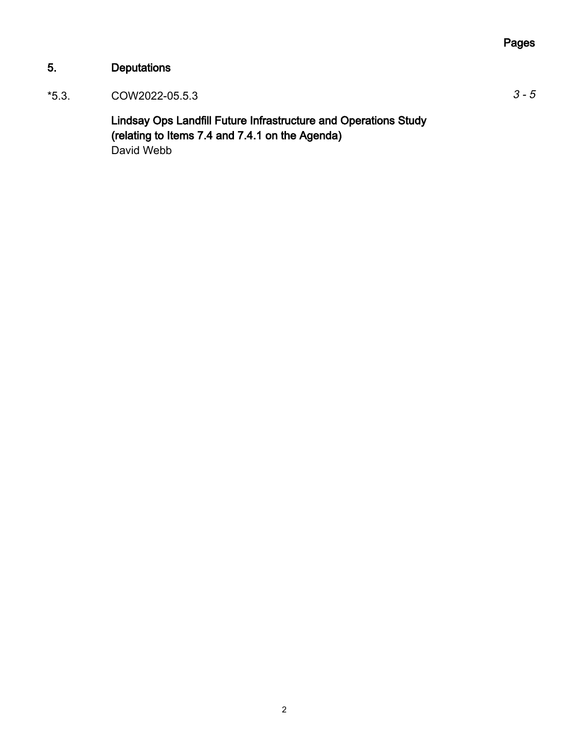# Pages

# 5. Deputations

 $*5.3.$  COW2022-05.5.3  $3 - 5$ 

Lindsay Ops Landfill Future Infrastructure and Operations Study (relating to Items 7.4 and 7.4.1 on the Agenda) David Webb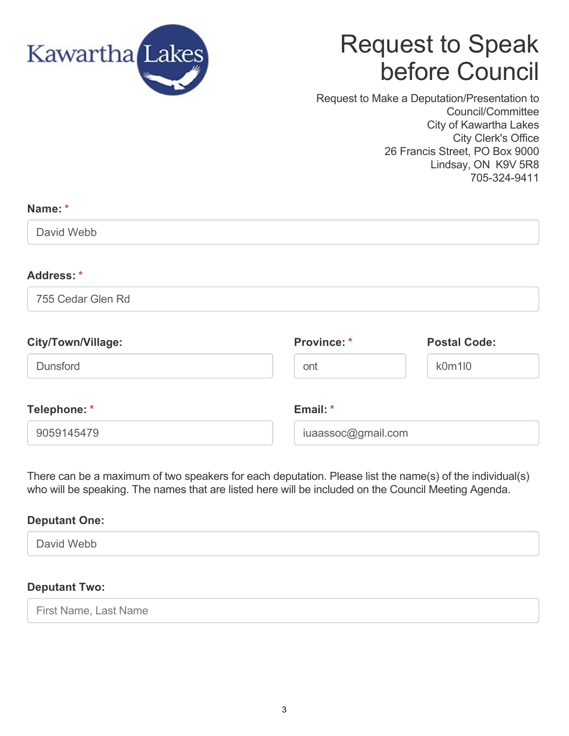

# Request to Speak before Council

Request to Make a Deputation/Presentation to Council/Committee City of Kawartha Lakes City Clerk's Office 26 Francis Street, PO Box 9000 Lindsay, ON K9V 5R8 705-324-9411

#### **Name: \***

David Webb

#### **Address: \***

755 Cedar Glen Rd

| <b>City/Town/Village:</b> | Province: *        | <b>Postal Code:</b> |
|---------------------------|--------------------|---------------------|
| <b>Dunsford</b>           | ont                | k0m1l0              |
| Telephone: *              | Email: *           |                     |
| 9059145479                | iuaassoc@gmail.com |                     |

There can be a maximum of two speakers for each deputation. Please list the name(s) of the individual(s) who will be speaking. The names that are listed here will be included on the Council Meeting Agenda.

#### **Deputant One:**

|--|

#### **Deputant Two:**

First Name, Last Name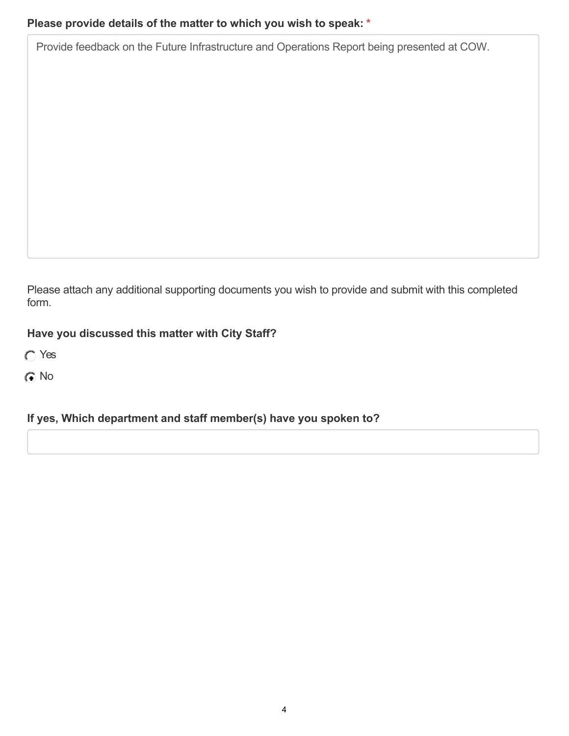# **Please provide details of the matter to which you wish to speak: \***

Provide feedback on the Future Infrastructure and Operations Report being presented at COW.

Please attach any additional supporting documents you wish to provide and submit with this completed form.

# **Have you discussed this matter with City Staff?**

Yes

No

# **If yes, Which department and staff member(s) have you spoken to?**